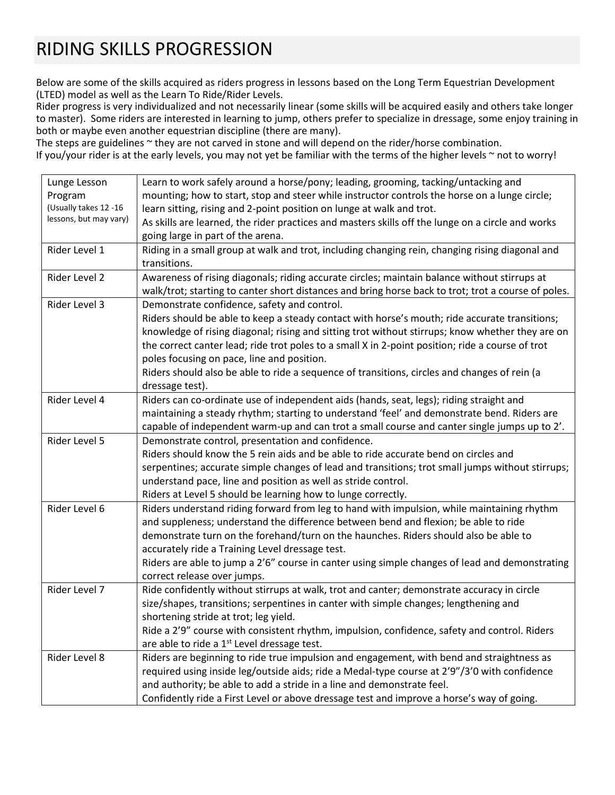## RIDING SKILLS PROGRESSION

Below are some of the skills acquired as riders progress in lessons based on the Long Term Equestrian Development (LTED) model as well as the Learn To Ride/Rider Levels.

Rider progress is very individualized and not necessarily linear (some skills will be acquired easily and others take longer to master). Some riders are interested in learning to jump, others prefer to specialize in dressage, some enjoy training in both or maybe even another equestrian discipline (there are many).

The steps are guidelines ~ they are not carved in stone and will depend on the rider/horse combination. If you/your rider is at the early levels, you may not yet be familiar with the terms of the higher levels ~ not to worry!

| Lunge Lesson           | Learn to work safely around a horse/pony; leading, grooming, tacking/untacking and                  |
|------------------------|-----------------------------------------------------------------------------------------------------|
| Program                | mounting; how to start, stop and steer while instructor controls the horse on a lunge circle;       |
| (Usually takes 12 -16  | learn sitting, rising and 2-point position on lunge at walk and trot.                               |
| lessons, but may vary) | As skills are learned, the rider practices and masters skills off the lunge on a circle and works   |
|                        | going large in part of the arena.                                                                   |
| Rider Level 1          | Riding in a small group at walk and trot, including changing rein, changing rising diagonal and     |
|                        | transitions.                                                                                        |
| Rider Level 2          | Awareness of rising diagonals; riding accurate circles; maintain balance without stirrups at        |
|                        | walk/trot; starting to canter short distances and bring horse back to trot; trot a course of poles. |
| Rider Level 3          | Demonstrate confidence, safety and control.                                                         |
|                        | Riders should be able to keep a steady contact with horse's mouth; ride accurate transitions;       |
|                        | knowledge of rising diagonal; rising and sitting trot without stirrups; know whether they are on    |
|                        | the correct canter lead; ride trot poles to a small X in 2-point position; ride a course of trot    |
|                        | poles focusing on pace, line and position.                                                          |
|                        | Riders should also be able to ride a sequence of transitions, circles and changes of rein (a        |
|                        | dressage test).                                                                                     |
| Rider Level 4          | Riders can co-ordinate use of independent aids (hands, seat, legs); riding straight and             |
|                        | maintaining a steady rhythm; starting to understand 'feel' and demonstrate bend. Riders are         |
|                        | capable of independent warm-up and can trot a small course and canter single jumps up to 2'.        |
| Rider Level 5          | Demonstrate control, presentation and confidence.                                                   |
|                        | Riders should know the 5 rein aids and be able to ride accurate bend on circles and                 |
|                        | serpentines; accurate simple changes of lead and transitions; trot small jumps without stirrups;    |
|                        | understand pace, line and position as well as stride control.                                       |
|                        | Riders at Level 5 should be learning how to lunge correctly.                                        |
| Rider Level 6          | Riders understand riding forward from leg to hand with impulsion, while maintaining rhythm          |
|                        | and suppleness; understand the difference between bend and flexion; be able to ride                 |
|                        | demonstrate turn on the forehand/turn on the haunches. Riders should also be able to                |
|                        | accurately ride a Training Level dressage test.                                                     |
|                        | Riders are able to jump a 2'6" course in canter using simple changes of lead and demonstrating      |
|                        | correct release over jumps.                                                                         |
| Rider Level 7          | Ride confidently without stirrups at walk, trot and canter; demonstrate accuracy in circle          |
|                        | size/shapes, transitions; serpentines in canter with simple changes; lengthening and                |
|                        | shortening stride at trot; leg yield.                                                               |
|                        | Ride a 2'9" course with consistent rhythm, impulsion, confidence, safety and control. Riders        |
|                        | are able to ride a 1 <sup>st</sup> Level dressage test.                                             |
| Rider Level 8          | Riders are beginning to ride true impulsion and engagement, with bend and straightness as           |
|                        | required using inside leg/outside aids; ride a Medal-type course at 2'9"/3'0 with confidence        |
|                        | and authority; be able to add a stride in a line and demonstrate feel.                              |
|                        | Confidently ride a First Level or above dressage test and improve a horse's way of going.           |